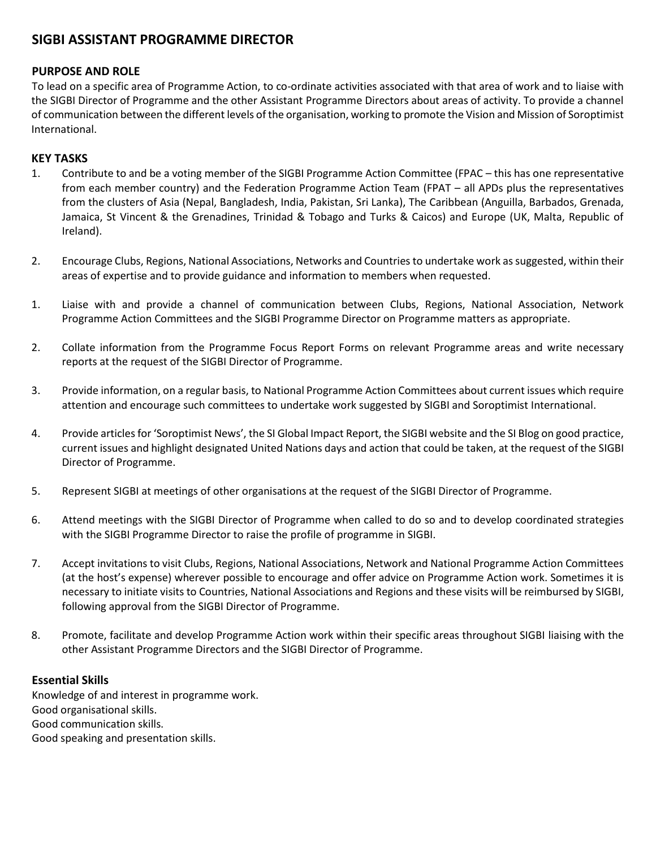# **SIGBI ASSISTANT PROGRAMME DIRECTOR**

## **PURPOSE AND ROLE**

To lead on a specific area of Programme Action, to co-ordinate activities associated with that area of work and to liaise with the SIGBI Director of Programme and the other Assistant Programme Directors about areas of activity. To provide a channel of communication between the different levels of the organisation, working to promote the Vision and Mission of Soroptimist International.

### **KEY TASKS**

- 1. Contribute to and be a voting member of the SIGBI Programme Action Committee (FPAC this has one representative from each member country) and the Federation Programme Action Team (FPAT – all APDs plus the representatives from the clusters of Asia (Nepal, Bangladesh, India, Pakistan, Sri Lanka), The Caribbean (Anguilla, Barbados, Grenada, Jamaica, St Vincent & the Grenadines, Trinidad & Tobago and Turks & Caicos) and Europe (UK, Malta, Republic of Ireland).
- 2. Encourage Clubs, Regions, National Associations, Networks and Countries to undertake work as suggested, within their areas of expertise and to provide guidance and information to members when requested.
- 1. Liaise with and provide a channel of communication between Clubs, Regions, National Association, Network Programme Action Committees and the SIGBI Programme Director on Programme matters as appropriate.
- 2. Collate information from the Programme Focus Report Forms on relevant Programme areas and write necessary reports at the request of the SIGBI Director of Programme.
- 3. Provide information, on a regular basis, to National Programme Action Committees about current issues which require attention and encourage such committees to undertake work suggested by SIGBI and Soroptimist International.
- 4. Provide articles for 'Soroptimist News', the SI Global Impact Report, the SIGBI website and the SI Blog on good practice, current issues and highlight designated United Nations days and action that could be taken, at the request of the SIGBI Director of Programme.
- 5. Represent SIGBI at meetings of other organisations at the request of the SIGBI Director of Programme.
- 6. Attend meetings with the SIGBI Director of Programme when called to do so and to develop coordinated strategies with the SIGBI Programme Director to raise the profile of programme in SIGBI.
- 7. Accept invitations to visit Clubs, Regions, National Associations, Network and National Programme Action Committees (at the host's expense) wherever possible to encourage and offer advice on Programme Action work. Sometimes it is necessary to initiate visits to Countries, National Associations and Regions and these visits will be reimbursed by SIGBI, following approval from the SIGBI Director of Programme.
- 8. Promote, facilitate and develop Programme Action work within their specific areas throughout SIGBI liaising with the other Assistant Programme Directors and the SIGBI Director of Programme.

#### **Essential Skills**

Knowledge of and interest in programme work. Good organisational skills. Good communication skills. Good speaking and presentation skills.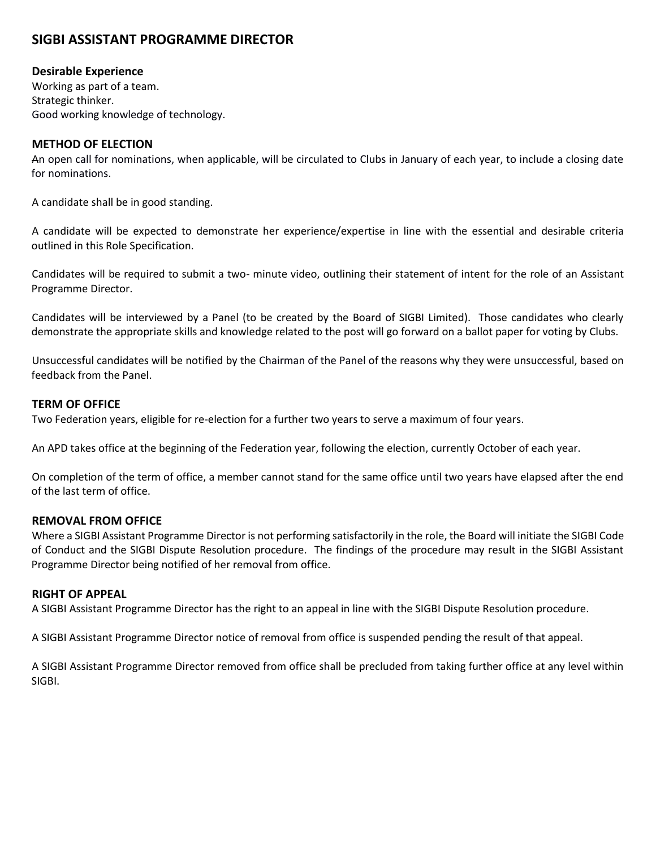# **SIGBI ASSISTANT PROGRAMME DIRECTOR**

## **Desirable Experience**

Working as part of a team. Strategic thinker. Good working knowledge of technology.

### **METHOD OF ELECTION**

An open call for nominations, when applicable, will be circulated to Clubs in January of each year, to include a closing date for nominations.

A candidate shall be in good standing.

A candidate will be expected to demonstrate her experience/expertise in line with the essential and desirable criteria outlined in this Role Specification.

Candidates will be required to submit a two- minute video, outlining their statement of intent for the role of an Assistant Programme Director.

Candidates will be interviewed by a Panel (to be created by the Board of SIGBI Limited). Those candidates who clearly demonstrate the appropriate skills and knowledge related to the post will go forward on a ballot paper for voting by Clubs.

Unsuccessful candidates will be notified by the Chairman of the Panel of the reasons why they were unsuccessful, based on feedback from the Panel.

#### **TERM OF OFFICE**

Two Federation years, eligible for re-election for a further two years to serve a maximum of four years.

An APD takes office at the beginning of the Federation year, following the election, currently October of each year.

On completion of the term of office, a member cannot stand for the same office until two years have elapsed after the end of the last term of office.

#### **REMOVAL FROM OFFICE**

Where a SIGBI Assistant Programme Director is not performing satisfactorily in the role, the Board will initiate the SIGBI Code of Conduct and the SIGBI Dispute Resolution procedure. The findings of the procedure may result in the SIGBI Assistant Programme Director being notified of her removal from office.

### **RIGHT OF APPEAL**

A SIGBI Assistant Programme Director has the right to an appeal in line with the SIGBI Dispute Resolution procedure.

A SIGBI Assistant Programme Director notice of removal from office is suspended pending the result of that appeal.

A SIGBI Assistant Programme Director removed from office shall be precluded from taking further office at any level within SIGBI.